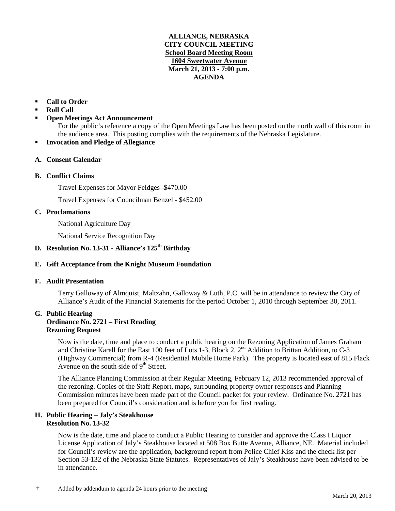## **ALLIANCE, NEBRASKA CITY COUNCIL MEETING School Board Meeting Room 1604 Sweetwater Avenue March 21, 2013 - 7:00 p.m. AGENDA**

## **Call to Order**

- **Roll Call**
- **Open Meetings Act Announcement**

For the public's reference a copy of the Open Meetings Law has been posted on the north wall of this room in the audience area. This posting complies with the requirements of the Nebraska Legislature.

- **Invocation and Pledge of Allegiance**
- **A. Consent Calendar**

## **B. Conflict Claims**

Travel Expenses for Mayor Feldges -\$470.00

Travel Expenses for Councilman Benzel - \$452.00

## **C. Proclamations**

National Agriculture Day

National Service Recognition Day

# **D. Resolution No. 13-31 - Alliance's 125th Birthday**

## **E. Gift Acceptance from the Knight Museum Foundation**

## **F. Audit Presentation**

Terry Galloway of Almquist, Maltzahn, Galloway & Luth, P.C. will be in attendance to review the City of Alliance's Audit of the Financial Statements for the period October 1, 2010 through September 30, 2011.

#### **G. Public Hearing Ordinance No. 2721 – First Reading Rezoning Request**

Now is the date, time and place to conduct a public hearing on the Rezoning Application of James Graham and Christine Karell for the East 100 feet of Lots 1-3, Block 2, 2<sup>nd</sup> Addition to Brittan Addition, to C-3 (Highway Commercial) from R-4 (Residential Mobile Home Park). The property is located east of 815 Flack Avenue on the south side of  $9<sup>th</sup>$  Street.

The Alliance Planning Commission at their Regular Meeting, February 12, 2013 recommended approval of the rezoning. Copies of the Staff Report, maps, surrounding property owner responses and Planning Commission minutes have been made part of the Council packet for your review. Ordinance No. 2721 has been prepared for Council's consideration and is before you for first reading.

#### **H. Public Hearing – Jaly's Steakhouse Resolution No. 13-32**

Now is the date, time and place to conduct a Public Hearing to consider and approve the Class I Liquor License Application of Jaly's Steakhouse located at 508 Box Butte Avenue, Alliance, NE. Material included for Council's review are the application, background report from Police Chief Kiss and the check list per Section 53-132 of the Nebraska State Statutes. Representatives of Jaly's Steakhouse have been advised to be in attendance.